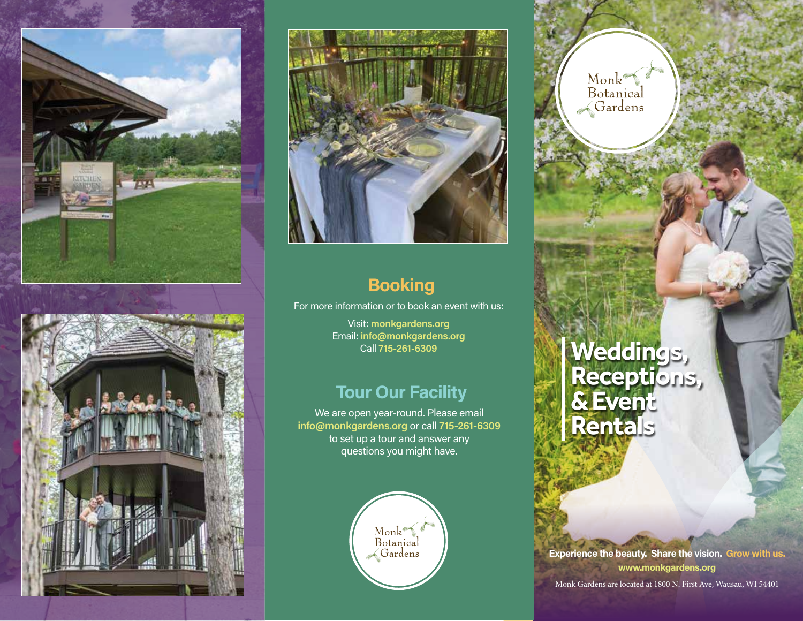





# **Booking**

For more information or to book an event with us:

Visit: **monkgardens.org** Email: **info@monkgardens.org** Call **715-261-6309**

#### **Tour Our Facility**

We are open year-round. Please email **info@monkgardens.org** or call **715-261-6309** to set up a tour and answer any questions you might have.



Monk<br>Botanical<br>Gardens

# **Weddings, Receptions, & Event Rentals**

**Experience the beauty. Share the vision. Grow with us. www.monkgardens.org**

Monk Gardens are located at 1800 N. First Ave, Wausau, WI 54401